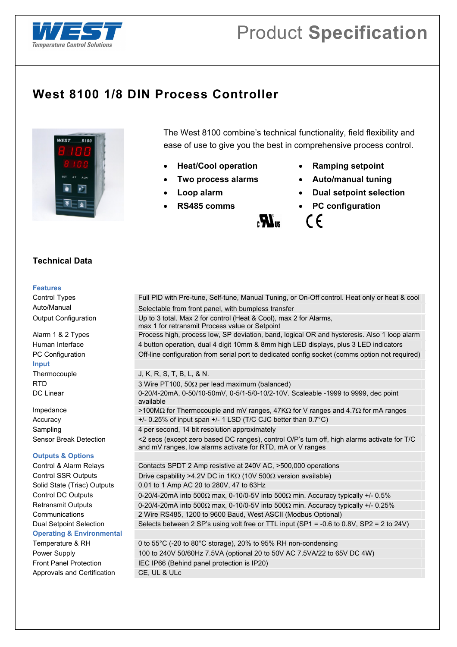

# Product **Specification**

# **West 8100 1/8 DIN Process Controller**



The West 8100 combine's technical functionality, field flexibility and ease of use to give you the best in comprehensive process control.

- 
- 
- 
- 
- **Heat/Cool operation Ramping setpoint**
- **Two process alarms Auto/manual tuning**
- **Loop alarm Dual setpoint selection**
- **RS485 comms PC configuration**



## **Technical Data**

#### **Features**

**Input** 

### **Outputs & Options**

**Operating & Environmental** 

Approvals and Certification CE, UL & ULc

Control Types Full PID with Pre-tune, Self-tune, Manual Tuning, or On-Off control. Heat only or heat & cool Auto/Manual Selectable from front panel, with bumpless transfer Output Configuration Up to 3 total. Max 2 for control (Heat & Cool), max 2 for Alarms, max 1 for retransmit Process value or Setpoint Alarm 1 & 2 Types Process high, process low, SP deviation, band, logical OR and hysteresis. Also 1 loop alarm Human Interface 4 button operation, dual 4 digit 10mm & 8mm high LED displays, plus 3 LED indicators PC Configuration Off-line configuration from serial port to dedicated config socket (comms option not required) Thermocouple J, K, R, S, T, B, L, & N. RTD 3 Wire PT100, 50Ω per lead maximum (balanced) DC Linear 0-20/4-20mA, 0-50/10-50mV, 0-5/1-5/0-10/2-10V. Scaleable -1999 to 9999, dec point available Impedance >100MΩ for Thermocouple and mV ranges, 47KΩ for V ranges and 4.7Ω for mA ranges Accuracy +/- 0.25% of input span +/- 1 LSD (T/C CJC better than 0.7°C) Sampling 3-4 per second, 14 bit resolution approximately Sensor Break Detection <2 secs (except zero based DC ranges), control O/P's turn off, high alarms activate for T/C and mV ranges, low alarms activate for RTD, mA or V ranges Control & Alarm Relays Contacts SPDT 2 Amp resistive at 240V AC, >500,000 operations Control SSR Outputs Drive capability >4.2V DC in 1KΩ (10V 500Ω version available) Solid State (Triac) Outputs 0.01 to 1 Amp AC 20 to 280V, 47 to 63Hz Control DC Outputs 0-20/4-20mA into  $500\Omega$  max, 0-10/0-5V into  $500\Omega$  min. Accuracy typically +/- 0.5% Retransmit Outputs 0-20/4-20mA into 500Ω max, 0-10/0-5V into 500Ω min. Accuracy typically +/- 0.25% Communications 2 Wire RS485, 1200 to 9600 Baud, West ASCII (Modbus Optional) Dual Setpoint Selection Selects between 2 SP's using volt free or TTL input (SP1 = -0.6 to 0.8V, SP2 = 2 to 24V) Temperature & RH 0 to 55°C (-20 to 80°C storage), 20% to 95% RH non-condensing

Power Supply 100 to 240V 50/60Hz 7.5VA (optional 20 to 50V AC 7.5VA/22 to 65V DC 4W) Front Panel Protection IEC IP66 (Behind panel protection is IP20)